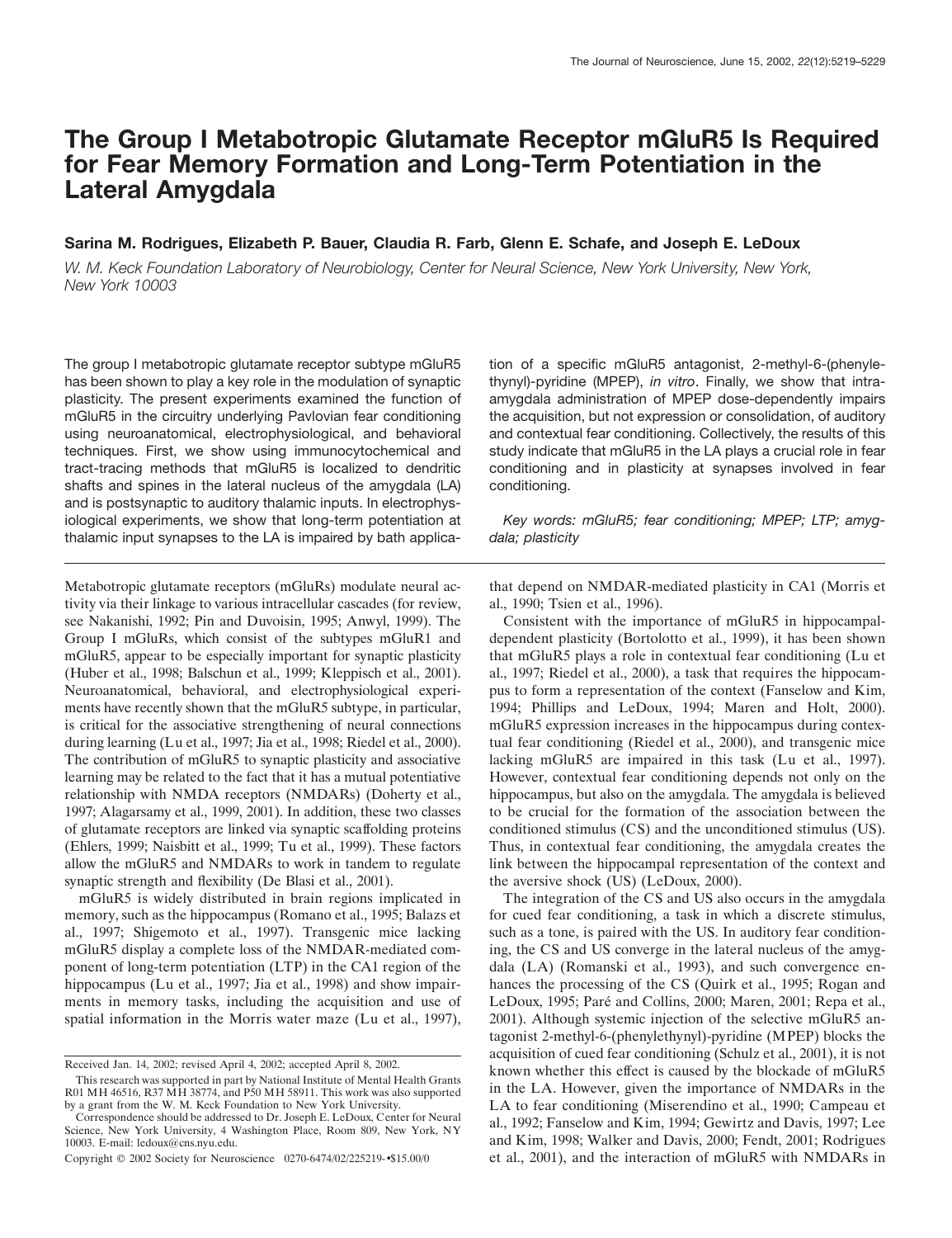# **The Group I Metabotropic Glutamate Receptor mGluR5 Is Required for Fear Memory Formation and Long-Term Potentiation in the Lateral Amygdala**

# **Sarina M. Rodrigues, Elizabeth P. Bauer, Claudia R. Farb, Glenn E. Schafe, and Joseph E. LeDoux**

*W. M. Keck Foundation Laboratory of Neurobiology, Center for Neural Science, New York University, New York, New York 10003*

The group I metabotropic glutamate receptor subtype mGluR5 has been shown to play a key role in the modulation of synaptic plasticity. The present experiments examined the function of mGluR5 in the circuitry underlying Pavlovian fear conditioning using neuroanatomical, electrophysiological, and behavioral techniques. First, we show using immunocytochemical and tract-tracing methods that mGluR5 is localized to dendritic shafts and spines in the lateral nucleus of the amygdala (LA) and is postsynaptic to auditory thalamic inputs. In electrophysiological experiments, we show that long-term potentiation at thalamic input synapses to the LA is impaired by bath applica-

Metabotropic glutamate receptors (mGluRs) modulate neural activity via their linkage to various intracellular cascades (for review, see Nakanishi, 1992; Pin and Duvoisin, 1995; Anwyl, 1999). The Group I mGluRs, which consist of the subtypes mGluR1 and mGluR5, appear to be especially important for synaptic plasticity (Huber et al., 1998; Balschun et al., 1999; Kleppisch et al., 2001). Neuroanatomical, behavioral, and electrophysiological experiments have recently shown that the mGluR5 subtype, in particular, is critical for the associative strengthening of neural connections during learning (Lu et al., 1997; Jia et al., 1998; Riedel et al., 2000). The contribution of mGluR5 to synaptic plasticity and associative learning may be related to the fact that it has a mutual potentiative relationship with NMDA receptors (NMDARs) (Doherty et al., 1997; Alagarsamy et al., 1999, 2001). In addition, these two classes of glutamate receptors are linked via synaptic scaffolding proteins (Ehlers, 1999; Naisbitt et al., 1999; Tu et al., 1999). These factors allow the mGluR5 and NMDARs to work in tandem to regulate synaptic strength and flexibility (De Blasi et al., 2001).

mGluR5 is widely distributed in brain regions implicated in memory, such as the hippocampus (Romano et al., 1995; Balazs et al., 1997; Shigemoto et al., 1997). Transgenic mice lacking mGluR5 display a complete loss of the NMDAR-mediated component of long-term potentiation (LTP) in the CA1 region of the hippocampus (Lu et al., 1997; Jia et al., 1998) and show impairments in memory tasks, including the acquisition and use of spatial information in the Morris water maze (Lu et al., 1997), tion of a specific mGluR5 antagonist, 2-methyl-6-(phenylethynyl)-pyridine (MPEP), *in vitro*. Finally, we show that intraamygdala administration of MPEP dose-dependently impairs the acquisition, but not expression or consolidation, of auditory and contextual fear conditioning. Collectively, the results of this study indicate that mGluR5 in the LA plays a crucial role in fear conditioning and in plasticity at synapses involved in fear conditioning.

*Key words: mGluR5; fear conditioning; MPEP; LTP; amygdala; plasticity*

that depend on NMDAR-mediated plasticity in CA1 (Morris et al., 1990; Tsien et al., 1996).

Consistent with the importance of mGluR5 in hippocampaldependent plasticity (Bortolotto et al., 1999), it has been shown that mGluR5 plays a role in contextual fear conditioning (Lu et al., 1997; Riedel et al., 2000), a task that requires the hippocampus to form a representation of the context (Fanselow and Kim, 1994; Phillips and LeDoux, 1994; Maren and Holt, 2000). mGluR5 expression increases in the hippocampus during contextual fear conditioning (Riedel et al., 2000), and transgenic mice lacking mGluR5 are impaired in this task (Lu et al., 1997). However, contextual fear conditioning depends not only on the hippocampus, but also on the amygdala. The amygdala is believed to be crucial for the formation of the association between the conditioned stimulus (CS) and the unconditioned stimulus (US). Thus, in contextual fear conditioning, the amygdala creates the link between the hippocampal representation of the context and the aversive shock (US) (LeDoux, 2000).

The integration of the CS and US also occurs in the amygdala for cued fear conditioning, a task in which a discrete stimulus, such as a tone, is paired with the US. In auditory fear conditioning, the CS and US converge in the lateral nucleus of the amygdala (LA) (Romanski et al., 1993), and such convergence enhances the processing of the CS (Quirk et al., 1995; Rogan and LeDoux, 1995; Paré and Collins, 2000; Maren, 2001; Repa et al., 2001). Although systemic injection of the selective mGluR5 antagonist 2-methyl-6-(phenylethynyl)-pyridine (MPEP) blocks the acquisition of cued fear conditioning (Schulz et al., 2001), it is not known whether this effect is caused by the blockade of mGluR5 in the LA. However, given the importance of NMDARs in the LA to fear conditioning (Miserendino et al., 1990; Campeau et al., 1992; Fanselow and Kim, 1994; Gewirtz and Davis, 1997; Lee and Kim, 1998; Walker and Davis, 2000; Fendt, 2001; Rodrigues et al., 2001), and the interaction of mGluR5 with NMDARs in

Received Jan. 14, 2002; revised April 4, 2002; accepted April 8, 2002.

This research was supported in part by National Institute of Mental Health Grants R01 MH 46516, R37 MH 38774, and P50 MH 58911. This work was also supported by a grant from the W. M. Keck Foundation to New York University.

Correspondence should be addressed to Dr. Joseph E. LeDoux, Center for Neural Science, New York University, 4 Washington Place, Room 809, New York, NY 10003. E-mail: ledoux@cns.nyu.edu.

Copyright © 2002 Society for Neuroscience 0270-6474/02/225219-•\$15.00/0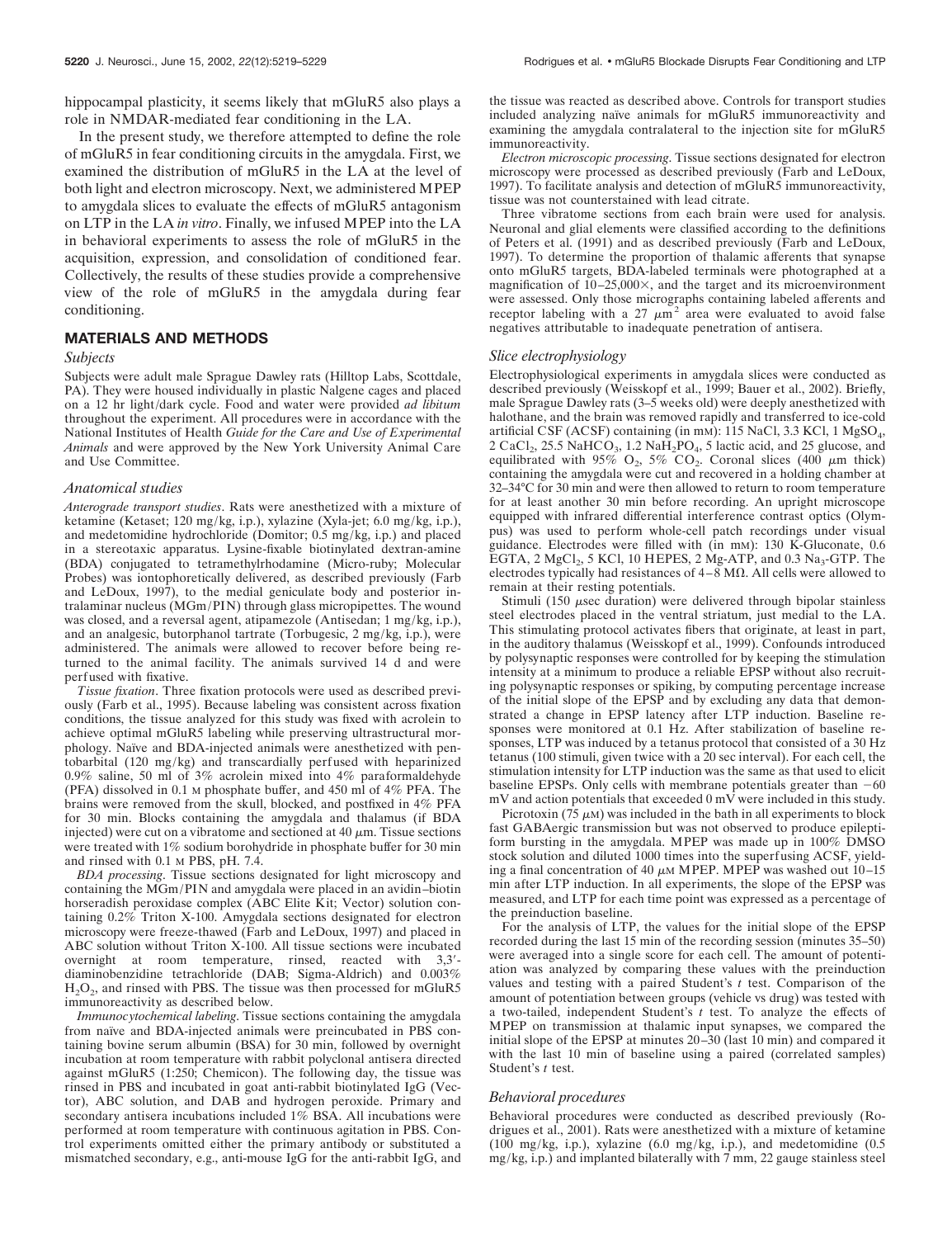hippocampal plasticity, it seems likely that mGluR5 also plays a role in NMDAR-mediated fear conditioning in the LA.

In the present study, we therefore attempted to define the role of mGluR5 in fear conditioning circuits in the amygdala. First, we examined the distribution of mGluR5 in the LA at the level of both light and electron microscopy. Next, we administered MPEP to amygdala slices to evaluate the effects of mGluR5 antagonism on LTP in the LA *in vitro*. Finally, we infused MPEP into the LA in behavioral experiments to assess the role of mGluR5 in the acquisition, expression, and consolidation of conditioned fear. Collectively, the results of these studies provide a comprehensive view of the role of mGluR5 in the amygdala during fear conditioning.

## **MATERIALS AND METHODS**

#### *Subjects*

Subjects were adult male Sprague Dawley rats (Hilltop Labs, Scottdale, PA). They were housed individually in plastic Nalgene cages and placed on a 12 hr light/dark cycle. Food and water were provided *ad libitum* throughout the experiment. All procedures were in accordance with the National Institutes of Health *Guide for the Care and Use of Experimental Animals* and were approved by the New York University Animal Care and Use Committee.

#### *Anatomical studies*

*Anterograde transport studies*. Rats were anesthetized with a mixture of ketamine (Ketaset; 120 mg/kg, i.p.), xylazine (Xyla-jet; 6.0 mg/kg, i.p.), and medetomidine hydrochloride (Domitor; 0.5 mg/kg, i.p.) and placed in a stereotaxic apparatus. Lysine-fixable biotinylated dextran-amine (BDA) conjugated to tetramethylrhodamine (Micro-ruby; Molecular Probes) was iontophoretically delivered, as described previously (Farb and LeDoux, 1997), to the medial geniculate body and posterior intralaminar nucleus (MGm/PIN) through glass micropipettes. The wound was closed, and a reversal agent, atipamezole (Antisedan; 1 mg/kg, i.p.), and an analgesic, butorphanol tartrate (Torbugesic, 2 mg/kg, i.p.), were administered. The animals were allowed to recover before being returned to the animal facility. The animals survived 14 d and were perfused with fixative.

*Tissue fixation*. Three fixation protocols were used as described previously (Farb et al., 1995). Because labeling was consistent across fixation conditions, the tissue analyzed for this study was fixed with acrolein to achieve optimal mGluR5 labeling while preserving ultrastructural morphology. Naïve and BDA-injected animals were anesthetized with pentobarbital (120 mg/kg) and transcardially perfused with heparinized 0.9% saline, 50 ml of 3% acrolein mixed into 4% paraformaldehyde (PFA) dissolved in 0.1 M phosphate buffer, and 450 ml of 4% PFA. The brains were removed from the skull, blocked, and postfixed in 4% PFA for 30 min. Blocks containing the amygdala and thalamus (if BDA injected) were cut on a vibratome and sectioned at  $40 \mu m$ . Tissue sections were treated with 1% sodium borohydride in phosphate buffer for 30 min and rinsed with 0.1 M PBS, pH. 7.4.

*BDA processing*. Tissue sections designated for light microscopy and containing the MGm/PIN and amygdala were placed in an avidin–biotin horseradish peroxidase complex (ABC Elite Kit; Vector) solution containing 0.2% Triton X-100. Amygdala sections designated for electron microscopy were freeze-thawed (Farb and LeDoux, 1997) and placed in ABC solution without Triton X-100. All tissue sections were incubated overnight at room temperature, rinsed, reacted with 3,3 diaminobenzidine tetrachloride (DAB; Sigma-Aldrich) and 0.003%  $H<sub>2</sub>O<sub>2</sub>$ , and rinsed with PBS. The tissue was then processed for mGluR5 immunoreactivity as described below.

*Immunocytochemical labeling*. Tissue sections containing the amygdala from naïve and BDA-injected animals were preincubated in PBS containing bovine serum albumin (BSA) for 30 min, followed by overnight incubation at room temperature with rabbit polyclonal antisera directed against mGluR5 (1:250; Chemicon). The following day, the tissue was rinsed in PBS and incubated in goat anti-rabbit biotinylated IgG (Vector), ABC solution, and DAB and hydrogen peroxide. Primary and secondary antisera incubations included 1% BSA. All incubations were performed at room temperature with continuous agitation in PBS. Control experiments omitted either the primary antibody or substituted a mismatched secondary, e.g., anti-mouse IgG for the anti-rabbit IgG, and the tissue was reacted as described above. Controls for transport studies included analyzing naïve animals for mGluR5 immunoreactivity and examining the amygdala contralateral to the injection site for mGluR5 immunoreactivity.

*Electron microscopic processing*. Tissue sections designated for electron microscopy were processed as described previously (Farb and LeDoux, 1997). To facilitate analysis and detection of mGluR5 immunoreactivity, tissue was not counterstained with lead citrate.

Three vibratome sections from each brain were used for analysis. Neuronal and glial elements were classified according to the definitions of Peters et al. (1991) and as described previously (Farb and LeDoux, 1997). To determine the proportion of thalamic afferents that synapse onto mGluR5 targets, BDA-labeled terminals were photographed at a magnification of  $10-25,000\times$ , and the target and its microenvironment were assessed. Only those micrographs containing labeled afferents and receptor labeling with a  $27 \mu m^2$  area were evaluated to avoid false negatives attributable to inadequate penetration of antisera.

#### *Slice electrophysiology*

Electrophysiological experiments in amygdala slices were conducted as described previously (Weisskopf et al., 1999; Bauer et al., 2002). Briefly, male Sprague Dawley rats (3–5 weeks old) were deeply anesthetized with halothane, and the brain was removed rapidly and transferred to ice-cold artificial CSF (ACSF) containing (in mm): 115 NaCl, 3.3 KCl, 1 MgSO<sub>4</sub>, 2 CaCl<sub>2</sub>, 25.5 NaHCO<sub>3</sub>, 1.2 NaH<sub>2</sub>PO<sub>4</sub>, 5 lactic acid, and 25 glucose, and equilibrated with 95%  $O_2$ , 5%  $CO_2$ . Coronal slices (400  $\mu$ m thick) containing the amygdala were cut and recovered in a holding chamber at 32–34°C for 30 min and were then allowed to return to room temperature for at least another 30 min before recording. An upright microscope equipped with infrared differential interference contrast optics (Olympus) was used to perform whole-cell patch recordings under visual guidance. Electrodes were filled with (in mM): 130 K-Gluconate, 0.6 EGTA, 2  $MgCl<sub>2</sub>$ , 5 KCl, 10 HEPES, 2 Mg-ATP, and 0.3 Na<sub>3</sub>-GTP. The electrodes typically had resistances of  $4-\overline{8}$  M $\Omega$ . All cells were allowed to remain at their resting potentials.

Stimuli (150  $\mu$ sec duration) were delivered through bipolar stainless steel electrodes placed in the ventral striatum, just medial to the LA. This stimulating protocol activates fibers that originate, at least in part, in the auditory thalamus (Weisskopf et al., 1999). Confounds introduced by polysynaptic responses were controlled for by keeping the stimulation intensity at a minimum to produce a reliable EPSP without also recruiting polysynaptic responses or spiking, by computing percentage increase of the initial slope of the EPSP and by excluding any data that demonstrated a change in EPSP latency after LTP induction. Baseline responses were monitored at 0.1 Hz. After stabilization of baseline responses, LTP was induced by a tetanus protocol that consisted of a 30 Hz tetanus (100 stimuli, given twice with a 20 sec interval). For each cell, the stimulation intensity for LTP induction was the same as that used to elicit baseline EPSPs. Only cells with membrane potentials greater than  $-60$ mV and action potentials that exceeded 0 mV were included in this study.

Picrotoxin (75  $\mu$ M) was included in the bath in all experiments to block fast GABAergic transmission but was not observed to produce epileptiform bursting in the amygdala. MPEP was made up in 100% DMSO stock solution and diluted 1000 times into the superfusing ACSF, yielding a final concentration of 40  $\mu$ M MPEP. MPEP was washed out 10–15 min after LTP induction. In all experiments, the slope of the EPSP was measured, and LTP for each time point was expressed as a percentage of the preinduction baseline.

For the analysis of LTP, the values for the initial slope of the EPSP recorded during the last 15 min of the recording session (minutes 35–50) were averaged into a single score for each cell. The amount of potentiation was analyzed by comparing these values with the preinduction values and testing with a paired Student's *t* test. Comparison of the amount of potentiation between groups (vehicle vs drug) was tested with a two-tailed, independent Student's *t* test. To analyze the effects of MPEP on transmission at thalamic input synapses, we compared the initial slope of the EPSP at minutes 20–30 (last 10 min) and compared it with the last 10 min of baseline using a paired (correlated samples) Student's *t* test.

#### *Behavioral procedures*

Behavioral procedures were conducted as described previously (Rodrigues et al., 2001). Rats were anesthetized with a mixture of ketamine (100 mg/kg, i.p.), xylazine (6.0 mg/kg, i.p.), and medetomidine (0.5 mg/kg, i.p.) and implanted bilaterally with 7 mm, 22 gauge stainless steel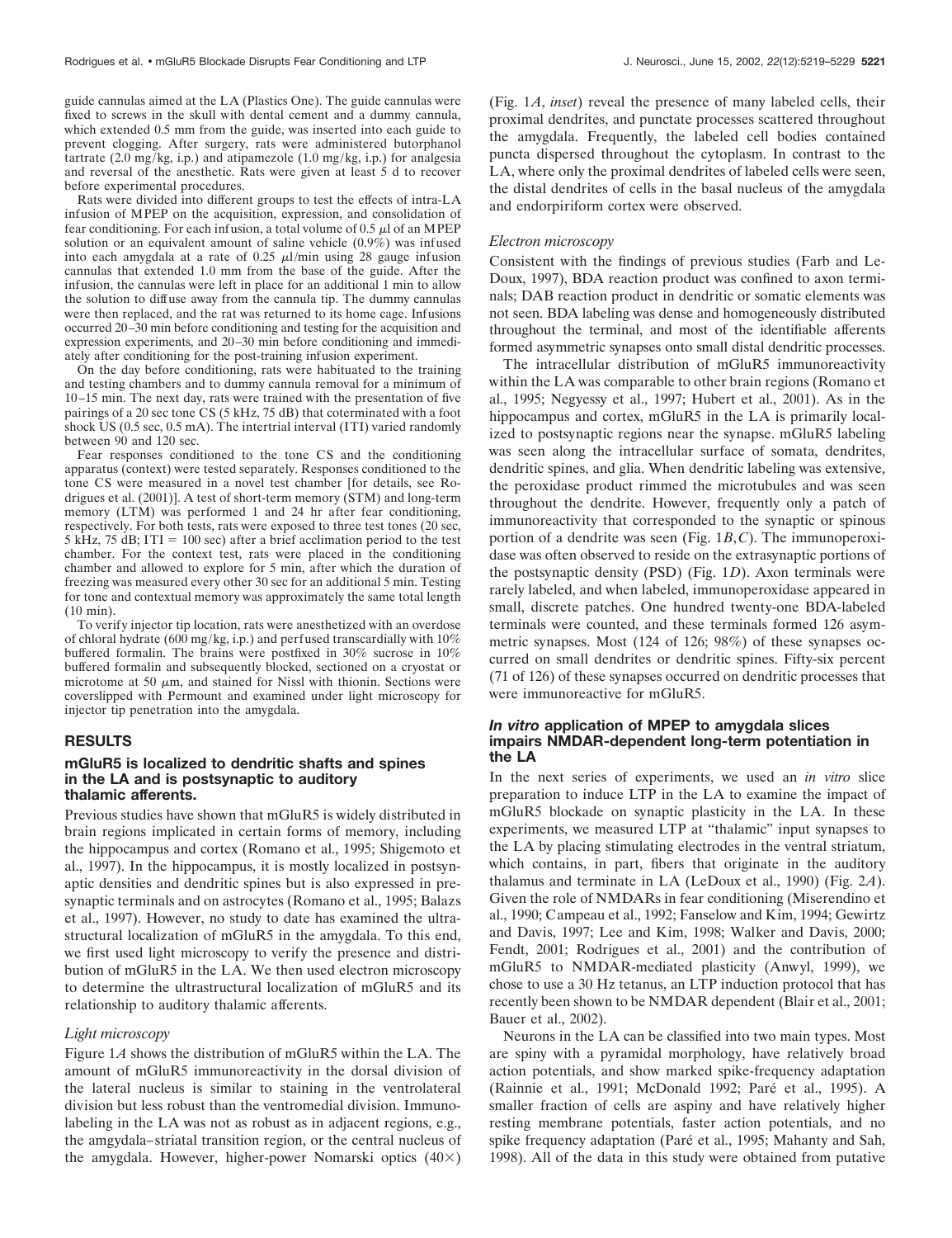guide cannulas aimed at the LA (Plastics One). The guide cannulas were fixed to screws in the skull with dental cement and a dummy cannula, which extended 0.5 mm from the guide, was inserted into each guide to prevent clogging. After surgery, rats were administered butorphanol tartrate  $(2.0 \text{ mg/kg}, i.p.)$  and atipamezole  $(1.0 \text{ mg/kg}, i.p.)$  for analgesia and reversal of the anesthetic. Rats were given at least 5 d to recover before experimental procedures.

Rats were divided into different groups to test the effects of intra-LA infusion of MPEP on the acquisition, expression, and consolidation of fear conditioning. For each infusion, a total volume of  $0.5 \mu$  of an MPEP solution or an equivalent amount of saline vehicle (0.9%) was infused into each amygdala at a rate of 0.25  $\mu$ l/min using 28 gauge infusion cannulas that extended 1.0 mm from the base of the guide. After the infusion, the cannulas were left in place for an additional 1 min to allow the solution to diffuse away from the cannula tip. The dummy cannulas were then replaced, and the rat was returned to its home cage. Infusions occurred 20–30 min before conditioning and testing for the acquisition and expression experiments, and 20–30 min before conditioning and immediately after conditioning for the post-training infusion experiment.

On the day before conditioning, rats were habituated to the training and testing chambers and to dummy cannula removal for a minimum of 10–15 min. The next day, rats were trained with the presentation of five pairings of a 20 sec tone CS (5 kHz, 75 dB) that coterminated with a foot shock US (0.5 sec, 0.5 mA). The intertrial interval (ITI) varied randomly between 90 and 120 sec.

Fear responses conditioned to the tone CS and the conditioning apparatus (context) were tested separately. Responses conditioned to the tone CS were measured in a novel test chamber [for details, see Rodrigues et al. (2001)]. A test of short-term memory (STM) and long-term memory (LTM) was performed 1 and 24 hr after fear conditioning, respectively. For both tests, rats were exposed to three test tones (20 sec, 5 kHz, 75 dB; ITI = 100 sec) after a brief acclimation period to the test chamber. For the context test, rats were placed in the conditioning chamber and allowed to explore for 5 min, after which the duration of freezing was measured every other 30 sec for an additional 5 min. Testing for tone and contextual memory was approximately the same total length (10 min).

To verify injector tip location, rats were anesthetized with an overdose of chloral hydrate (600 mg/kg, i.p.) and perfused transcardially with 10% buffered formalin. The brains were postfixed in 30% sucrose in 10% buffered formalin and subsequently blocked, sectioned on a cryostat or microtome at 50  $\mu$ m, and stained for Nissl with thionin. Sections were coverslipped with Permount and examined under light microscopy for injector tip penetration into the amygdala.

#### **RESULTS**

#### **mGluR5 is localized to dendritic shafts and spines in the LA and is postsynaptic to auditory thalamic afferents.**

Previous studies have shown that mGluR5 is widely distributed in brain regions implicated in certain forms of memory, including the hippocampus and cortex (Romano et al., 1995; Shigemoto et al., 1997). In the hippocampus, it is mostly localized in postsynaptic densities and dendritic spines but is also expressed in presynaptic terminals and on astrocytes (Romano et al., 1995; Balazs et al., 1997). However, no study to date has examined the ultrastructural localization of mGluR5 in the amygdala. To this end, we first used light microscopy to verify the presence and distribution of mGluR5 in the LA. We then used electron microscopy to determine the ultrastructural localization of mGluR5 and its relationship to auditory thalamic afferents.

#### *Light microscopy*

Figure 1*A* shows the distribution of mGluR5 within the LA. The amount of mGluR5 immunoreactivity in the dorsal division of the lateral nucleus is similar to staining in the ventrolateral division but less robust than the ventromedial division. Immunolabeling in the LA was not as robust as in adjacent regions, e.g., the amgydala–striatal transition region, or the central nucleus of the amygdala. However, higher-power Nomarski optics  $(40\times)$ 

(Fig. 1*A*, *inset*) reveal the presence of many labeled cells, their proximal dendrites, and punctate processes scattered throughout the amygdala. Frequently, the labeled cell bodies contained puncta dispersed throughout the cytoplasm. In contrast to the LA, where only the proximal dendrites of labeled cells were seen, the distal dendrites of cells in the basal nucleus of the amygdala and endorpiriform cortex were observed.

#### *Electron microscopy*

Consistent with the findings of previous studies (Farb and Le-Doux, 1997), BDA reaction product was confined to axon terminals; DAB reaction product in dendritic or somatic elements was not seen. BDA labeling was dense and homogeneously distributed throughout the terminal, and most of the identifiable afferents formed asymmetric synapses onto small distal dendritic processes.

The intracellular distribution of mGluR5 immunoreactivity within the LA was comparable to other brain regions (Romano et al., 1995; Negyessy et al., 1997; Hubert et al., 2001). As in the hippocampus and cortex, mGluR5 in the LA is primarily localized to postsynaptic regions near the synapse. mGluR5 labeling was seen along the intracellular surface of somata, dendrites, dendritic spines, and glia. When dendritic labeling was extensive, the peroxidase product rimmed the microtubules and was seen throughout the dendrite. However, frequently only a patch of immunoreactivity that corresponded to the synaptic or spinous portion of a dendrite was seen (Fig. 1*B*,*C*). The immunoperoxidase was often observed to reside on the extrasynaptic portions of the postsynaptic density (PSD) (Fig. 1*D*). Axon terminals were rarely labeled, and when labeled, immunoperoxidase appeared in small, discrete patches. One hundred twenty-one BDA-labeled terminals were counted, and these terminals formed 126 asymmetric synapses. Most (124 of 126; 98%) of these synapses occurred on small dendrites or dendritic spines. Fifty-six percent (71 of 126) of these synapses occurred on dendritic processes that were immunoreactive for mGluR5.

## *In vitro* **application of MPEP to amygdala slices impairs NMDAR-dependent long-term potentiation in the LA**

In the next series of experiments, we used an *in vitro* slice preparation to induce LTP in the LA to examine the impact of mGluR5 blockade on synaptic plasticity in the LA. In these experiments, we measured LTP at "thalamic" input synapses to the LA by placing stimulating electrodes in the ventral striatum, which contains, in part, fibers that originate in the auditory thalamus and terminate in LA (LeDoux et al., 1990) (Fig. 2*A*). Given the role of NMDARs in fear conditioning (Miserendino et al., 1990; Campeau et al., 1992; Fanselow and Kim, 1994; Gewirtz and Davis, 1997; Lee and Kim, 1998; Walker and Davis, 2000; Fendt, 2001; Rodrigues et al., 2001) and the contribution of mGluR5 to NMDAR-mediated plasticity (Anwyl, 1999), we chose to use a 30 Hz tetanus, an LTP induction protocol that has recently been shown to be NMDAR dependent (Blair et al., 2001; Bauer et al., 2002).

Neurons in the LA can be classified into two main types. Most are spiny with a pyramidal morphology, have relatively broad action potentials, and show marked spike-frequency adaptation (Rainnie et al., 1991; McDonald 1992; Paré et al., 1995). A smaller fraction of cells are aspiny and have relatively higher resting membrane potentials, faster action potentials, and no spike frequency adaptation (Paré et al., 1995; Mahanty and Sah, 1998). All of the data in this study were obtained from putative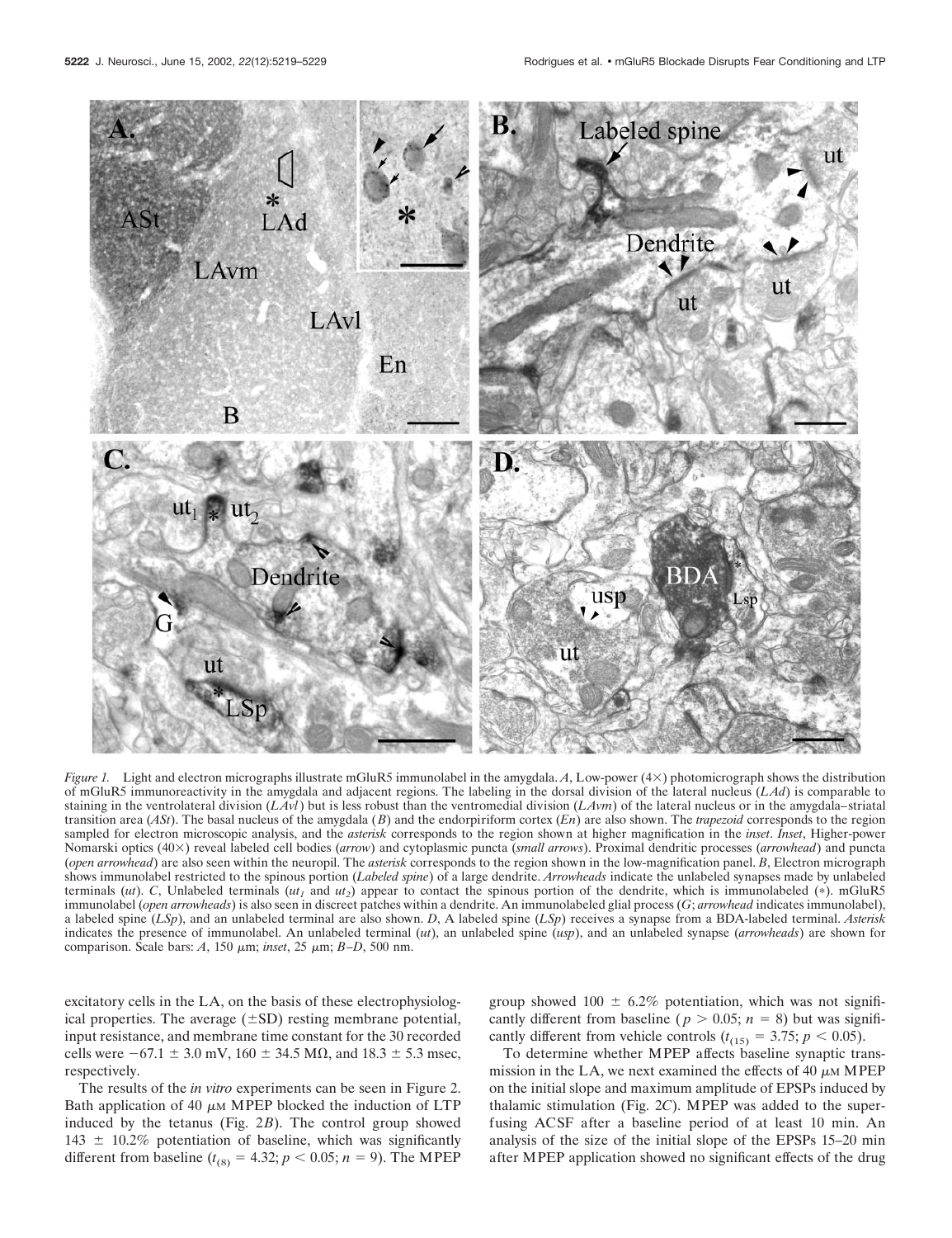

*Figure 1.* Light and electron micrographs illustrate mGluR5 immunolabel in the amygdala. *A*, Low-power (4×) photomicrograph shows the distribution of mGluR5 immunoreactivity in the amygdala and adjacent regions. The labeling in the dorsal division of the lateral nucleus (*LAd*) is comparable to staining in the ventrolateral division (*LAvl*) but is less robust than the ventromedial division (*LAvm*) of the lateral nucleus or in the amygdala–striatal transition area (*ASt*). The basal nucleus of the amygdala (*B*) and the endorpiriform cortex (*En*) are also shown. The *trapezoid* corresponds to the region sampled for electron microscopic analysis, and the *asterisk* corresponds to the region shown at higher magnification in the *inset*. *Inset*, Higher-power Nomarski optics (40×) reveal labeled cell bodies (*arrow*) and cytoplasmic puncta (*small arrows*). Proximal dendritic processes (*arrowhead*) and puncta (*open arrowhead*) are also seen within the neuropil. The *asterisk* corresponds to the region shown in the low-magnification panel. *B*, Electron micrograph shows immunolabel restricted to the spinous portion (*Labeled spine*) of a large dendrite. *Arrowheads* indicate the unlabeled synapses made by unlabeled terminals (*ut*). *C*, Unlabeled terminals ( $ut_1$  and  $ut_2$ ) appear to contact the spinous portion of the dendrite, which is immunolabeled (\*). mGluR5 immunolabel (*open arrowheads*) is also seen in discreet patches within a dendrite. An immunolabeled glial process (*G*; *arrowhead* indicates immunolabel), a labeled spine (*LSp*), and an unlabeled terminal are also shown. *D*, A labeled spine (*LSp*) receives a synapse from a BDA-labeled terminal. *Asterisk* indicates the presence of immunolabel. An unlabeled terminal (*ut*), an unlabeled spine (*usp*), and an unlabeled synapse (*arrowheads*) are shown for comparison. Scale bars: *A*, 150 m; *inset*, 25 m; *B–D*, 500 nm.

excitatory cells in the LA, on the basis of these electrophysiological properties. The average  $(\pm SD)$  resting membrane potential, input resistance, and membrane time constant for the 30 recorded cells were  $-67.1 \pm 3.0$  mV,  $160 \pm 34.5$  M $\Omega$ , and  $18.3 \pm 5.3$  msec, respectively.

The results of the *in vitro* experiments can be seen in Figure 2. Bath application of 40  $\mu$ M MPEP blocked the induction of LTP induced by the tetanus (Fig. 2*B*). The control group showed  $143 \pm 10.2\%$  potentiation of baseline, which was significantly different from baseline  $(t_{(8)} = 4.32; p < 0.05; n = 9)$ . The MPEP group showed  $100 \pm 6.2\%$  potentiation, which was not significantly different from baseline ( $p > 0.05$ ;  $n = 8$ ) but was significantly different from vehicle controls  $(t_{(15)} = 3.75; p < 0.05)$ .

To determine whether MPEP affects baseline synaptic transmission in the LA, we next examined the effects of 40  $\mu$ M MPEP on the initial slope and maximum amplitude of EPSPs induced by thalamic stimulation (Fig. 2*C*). MPEP was added to the superfusing ACSF after a baseline period of at least 10 min. An analysis of the size of the initial slope of the EPSPs 15–20 min after MPEP application showed no significant effects of the drug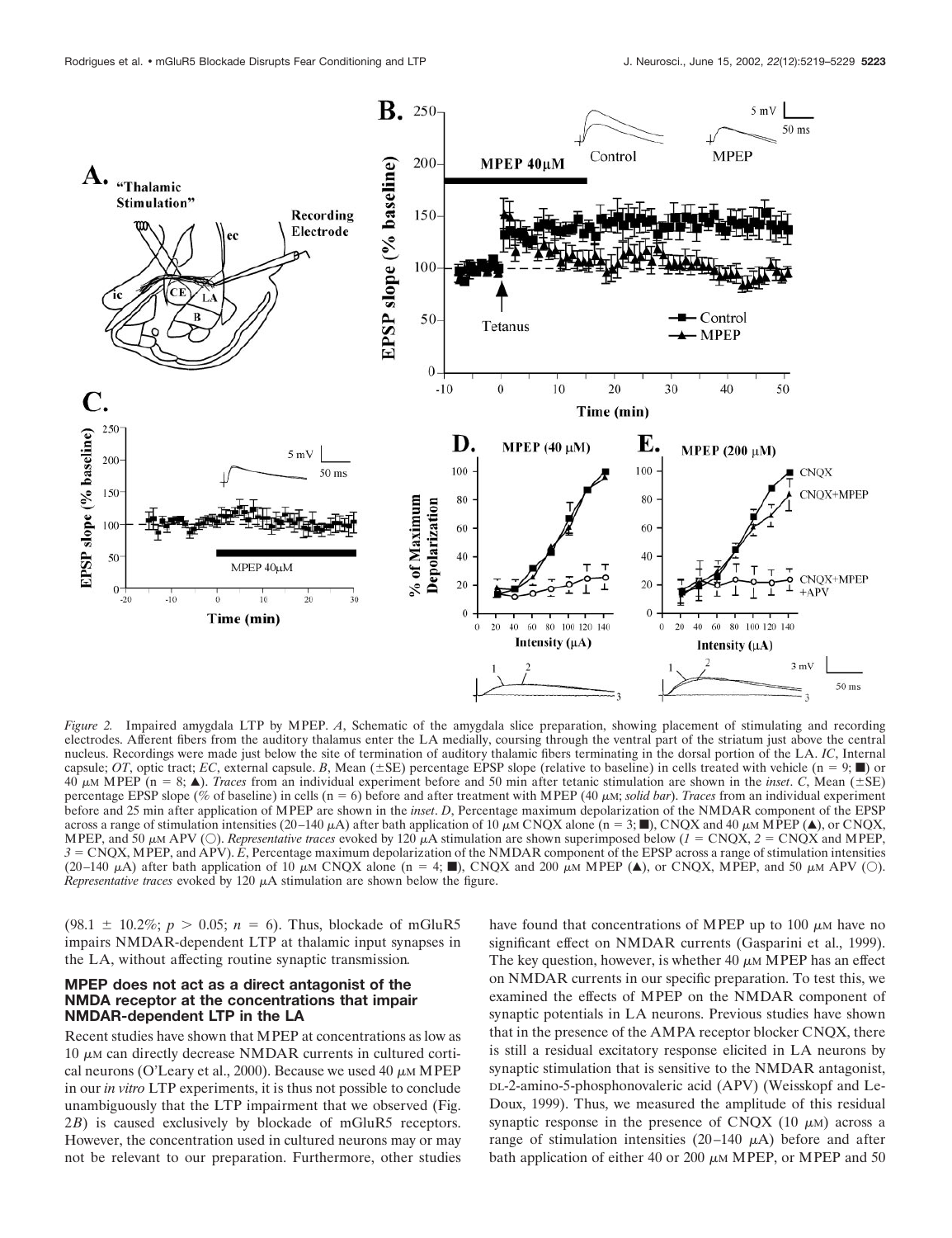

*Figure 2.* Impaired amygdala LTP by MPEP. *A*, Schematic of the amygdala slice preparation, showing placement of stimulating and recording electrodes. Afferent fibers from the auditory thalamus enter the LA medially, coursing through the ventral part of the striatum just above the central nucleus. Recordings were made just below the site of termination of auditory thalamic fibers terminating in the dorsal portion of the LA. *IC*, Internal capsule; *OT*, optic tract; *EC*, external capsule. *B*, Mean ( $\pm$ SE) percentage EPSP slope (relative to baseline) in cells treated with vehicle (n = 9;  $\blacksquare$ ) or 40  $\mu$ M MPEP (n = 8;  $\blacktriangle$ ). *Traces* from an individual experiment before and 50 min after tetanic stimulation are shown in the *inset*. *C*, Mean (±SE) percentage EPSP slope (% of baseline) in cells (n = 6) before and after treatment with MPEP (40  $\mu$ M; *solid bar*). *Traces* from an individual experiment before and 25 min after application of MPEP are shown in the *inset*. *D*, Percentage maximum depolarization of the NMDAR component of the EPSP across a range of stimulation intensities (20–140  $\mu$ A) after bath application of 10  $\mu$ M CNQX alone (n = 3;  $\blacksquare$ ), CNQX and 40  $\mu$ M MPEP ( $\blacktriangle$ ), or CNQX, MPEP, and 50  $\mu$ M APV (O). *Representative traces* evoked by 120  $\mu$ A stimulation are shown superimposed below (*1* = CNQX, *2* = CNQX and MPEP, *3* CNQX, MPEP, and APV). *E*, Percentage maximum depolarization of the NMDAR component of the EPSP across a range of stimulation intensities (20–140  $\mu$ A) after bath application of 10  $\mu$ M CNQX alone (n = 4;  $\blacksquare$ ), CNQX and 200  $\mu$ M MPEP ( $\blacktriangle$ ), or CNQX, MPEP, and 50  $\mu$ M APV (O). *Representative traces* evoked by 120  $\mu$ A stimulation are shown below the figure.

(98.1  $\pm$  10.2%; *p* > 0.05; *n* = 6). Thus, blockade of mGluR5 impairs NMDAR-dependent LTP at thalamic input synapses in the LA, without affecting routine synaptic transmission*.*

#### **MPEP does not act as a direct antagonist of the NMDA receptor at the concentrations that impair NMDAR-dependent LTP in the LA**

Recent studies have shown that MPEP at concentrations as low as  $10 \mu$ M can directly decrease NMDAR currents in cultured cortical neurons (O'Leary et al., 2000). Because we used 40  $\mu$ M MPEP in our *in vitro* LTP experiments, it is thus not possible to conclude unambiguously that the LTP impairment that we observed (Fig. 2*B*) is caused exclusively by blockade of mGluR5 receptors. However, the concentration used in cultured neurons may or may not be relevant to our preparation. Furthermore, other studies

have found that concentrations of MPEP up to 100  $\mu$ M have no significant effect on NMDAR currents (Gasparini et al., 1999). The key question, however, is whether 40  $\mu$ M MPEP has an effect on NMDAR currents in our specific preparation. To test this, we examined the effects of MPEP on the NMDAR component of synaptic potentials in LA neurons. Previous studies have shown that in the presence of the AMPA receptor blocker CNQX, there is still a residual excitatory response elicited in LA neurons by synaptic stimulation that is sensitive to the NMDAR antagonist, DL-2-amino-5-phosphonovaleric acid (APV) (Weisskopf and Le-Doux, 1999). Thus, we measured the amplitude of this residual synaptic response in the presence of CNQX (10  $\mu$ M) across a range of stimulation intensities  $(20-140 \mu A)$  before and after bath application of either 40 or 200  $\mu$ M MPEP, or MPEP and 50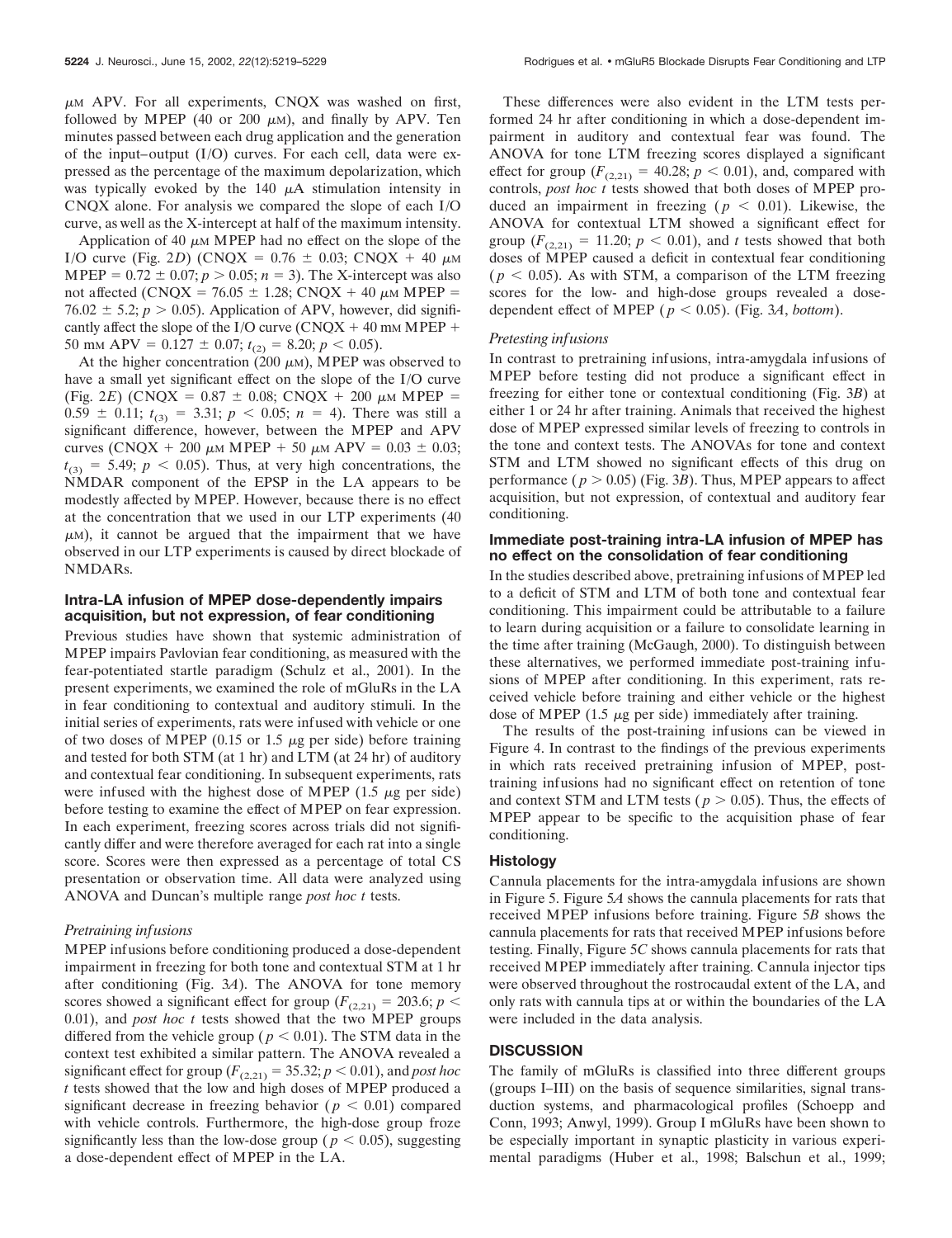$\mu$ M APV. For all experiments, CNQX was washed on first, followed by MPEP (40 or 200  $\mu$ m), and finally by APV. Ten minutes passed between each drug application and the generation of the input–output (I/O) curves. For each cell, data were expressed as the percentage of the maximum depolarization, which was typically evoked by the  $140 \mu A$  stimulation intensity in CNQX alone. For analysis we compared the slope of each I/O curve, as well as the X-intercept at half of the maximum intensity.

Application of 40  $\mu$ M MPEP had no effect on the slope of the I/O curve (Fig. 2*D*) (CNQX =  $0.76 \pm 0.03$ ; CNQX + 40  $\mu$ M MPEP =  $0.72 \pm 0.07$ ;  $p > 0.05$ ;  $n = 3$ ). The X-intercept was also not affected (CNOX = 76.05  $\pm$  1.28; CNOX + 40  $\mu$ M MPEP = 76.02  $\pm$  5.2; *p* > 0.05). Application of APV, however, did significantly affect the slope of the I/O curve (CNQX  $+$  40 mm MPEP  $+$ 50 mm APV =  $0.127 \pm 0.07$ ;  $t_{(2)} = 8.20$ ;  $p < 0.05$ ).

At the higher concentration (200  $\mu$ M), MPEP was observed to have a small yet significant effect on the slope of the I/O curve (Fig. 2*E*) (CNQX =  $0.87 \pm 0.08$ ; CNQX + 200  $\mu$ M MPEP =  $0.59 \pm 0.11$ ;  $t_{(3)} = 3.31$ ;  $p < 0.05$ ;  $n = 4$ ). There was still a significant difference, however, between the MPEP and APV curves (CNQX + 200  $\mu$ M MPEP + 50  $\mu$ M APV = 0.03  $\pm$  0.03;  $t_{(3)} = 5.49$ ;  $p < 0.05$ ). Thus, at very high concentrations, the NMDAR component of the EPSP in the LA appears to be modestly affected by MPEP. However, because there is no effect at the concentration that we used in our LTP experiments (40  $\mu$ M), it cannot be argued that the impairment that we have observed in our LTP experiments is caused by direct blockade of NMDARs.

## **Intra-LA infusion of MPEP dose-dependently impairs acquisition, but not expression, of fear conditioning**

Previous studies have shown that systemic administration of MPEP impairs Pavlovian fear conditioning, as measured with the fear-potentiated startle paradigm (Schulz et al., 2001). In the present experiments, we examined the role of mGluRs in the LA in fear conditioning to contextual and auditory stimuli. In the initial series of experiments, rats were infused with vehicle or one of two doses of MPEP (0.15 or 1.5  $\mu$ g per side) before training and tested for both STM (at 1 hr) and LTM (at 24 hr) of auditory and contextual fear conditioning. In subsequent experiments, rats were infused with the highest dose of MPEP (1.5  $\mu$ g per side) before testing to examine the effect of MPEP on fear expression. In each experiment, freezing scores across trials did not significantly differ and were therefore averaged for each rat into a single score. Scores were then expressed as a percentage of total CS presentation or observation time. All data were analyzed using ANOVA and Duncan's multiple range *post hoc t* tests.

## *Pretraining infusions*

MPEP infusions before conditioning produced a dose-dependent impairment in freezing for both tone and contextual STM at 1 hr after conditioning (Fig. 3*A*). The ANOVA for tone memory scores showed a significant effect for group ( $F_{(2,21)} = 203.6$ ;  $p <$ 0.01), and *post hoc t* tests showed that the two MPEP groups differed from the vehicle group ( $p < 0.01$ ). The STM data in the context test exhibited a similar pattern. The ANOVA revealed a significant effect for group ( $F_{(2,21)} = 35.32$ ;  $p < 0.01$ ), and *post hoc t* tests showed that the low and high doses of MPEP produced a significant decrease in freezing behavior ( $p < 0.01$ ) compared with vehicle controls. Furthermore, the high-dose group froze significantly less than the low-dose group ( $p < 0.05$ ), suggesting a dose-dependent effect of MPEP in the LA.

These differences were also evident in the LTM tests performed 24 hr after conditioning in which a dose-dependent impairment in auditory and contextual fear was found. The ANOVA for tone LTM freezing scores displayed a significant effect for group  $(F_{(2,21)} = 40.28; p < 0.01)$ , and, compared with controls, *post hoc t* tests showed that both doses of MPEP produced an impairment in freezing ( $p < 0.01$ ). Likewise, the ANOVA for contextual LTM showed a significant effect for group  $(F_{(2,21)} = 11.20; p < 0.01)$ , and *t* tests showed that both doses of MPEP caused a deficit in contextual fear conditioning  $(p < 0.05)$ . As with STM, a comparison of the LTM freezing scores for the low- and high-dose groups revealed a dosedependent effect of MPEP ( $p < 0.05$ ). (Fig. 3*A*, *bottom*).

# *Pretesting infusions*

In contrast to pretraining infusions, intra-amygdala infusions of MPEP before testing did not produce a significant effect in freezing for either tone or contextual conditioning (Fig. 3*B*) at either 1 or 24 hr after training. Animals that received the highest dose of MPEP expressed similar levels of freezing to controls in the tone and context tests. The ANOVAs for tone and context STM and LTM showed no significant effects of this drug on performance ( $p > 0.05$ ) (Fig. 3*B*). Thus, MPEP appears to affect acquisition, but not expression, of contextual and auditory fear conditioning.

## **Immediate post-training intra-LA infusion of MPEP has no effect on the consolidation of fear conditioning**

In the studies described above, pretraining infusions of MPEP led to a deficit of STM and LTM of both tone and contextual fear conditioning. This impairment could be attributable to a failure to learn during acquisition or a failure to consolidate learning in the time after training (McGaugh, 2000). To distinguish between these alternatives, we performed immediate post-training infusions of MPEP after conditioning. In this experiment, rats received vehicle before training and either vehicle or the highest dose of MPEP (1.5  $\mu$ g per side) immediately after training.

The results of the post-training infusions can be viewed in Figure 4. In contrast to the findings of the previous experiments in which rats received pretraining infusion of MPEP, posttraining infusions had no significant effect on retention of tone and context STM and LTM tests ( $p > 0.05$ ). Thus, the effects of MPEP appear to be specific to the acquisition phase of fear conditioning.

## **Histology**

Cannula placements for the intra-amygdala infusions are shown in Figure 5. Figure 5*A* shows the cannula placements for rats that received MPEP infusions before training. Figure 5*B* shows the cannula placements for rats that received MPEP infusions before testing. Finally, Figure 5*C* shows cannula placements for rats that received MPEP immediately after training. Cannula injector tips were observed throughout the rostrocaudal extent of the LA, and only rats with cannula tips at or within the boundaries of the LA were included in the data analysis.

## **DISCUSSION**

The family of mGluRs is classified into three different groups (groups I–III) on the basis of sequence similarities, signal transduction systems, and pharmacological profiles (Schoepp and Conn, 1993; Anwyl, 1999). Group I mGluRs have been shown to be especially important in synaptic plasticity in various experimental paradigms (Huber et al., 1998; Balschun et al., 1999;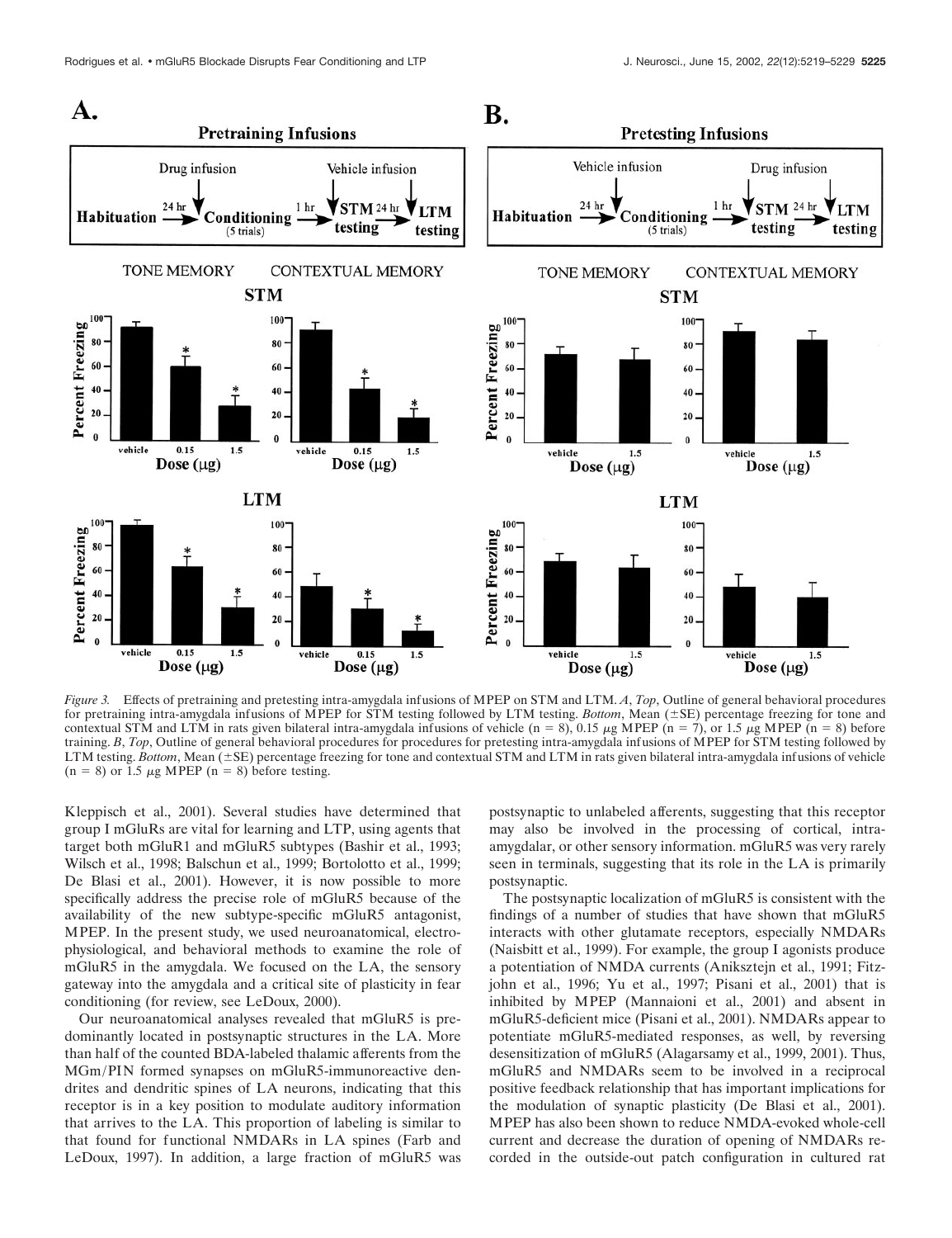

*Figure 3.* Effects of pretraining and pretesting intra-amygdala infusions of MPEP on STM and LTM. *A*, *Top*, Outline of general behavioral procedures for pretraining intra-amygdala infusions of MPEP for STM testing followed by LTM testing. *Bottom*, Mean  $(\pm SE)$  percentage freezing for tone and contextual STM and LTM in rats given bilateral intra-amygdala infusions of vehicle  $(n = 8)$ , 0.15  $\mu$ g MPEP  $(n = 7)$ , or 1.5  $\mu$ g MPEP  $(n = 8)$  before training. *B*, *Top*, Outline of general behavioral procedures for procedures for pretesting intra-amygdala infusions of MPEP for STM testing followed by LTM testing. Bottom, Mean (±SE) percentage freezing for tone and contextual STM and LTM in rats given bilateral intra-amygdala infusions of vehicle  $(n = 8)$  or 1.5  $\mu$ g MPEP  $(n = 8)$  before testing.

Kleppisch et al., 2001). Several studies have determined that group I mGluRs are vital for learning and LTP, using agents that target both mGluR1 and mGluR5 subtypes (Bashir et al., 1993; Wilsch et al., 1998; Balschun et al., 1999; Bortolotto et al., 1999; De Blasi et al., 2001). However, it is now possible to more specifically address the precise role of mGluR5 because of the availability of the new subtype-specific mGluR5 antagonist, MPEP. In the present study, we used neuroanatomical, electrophysiological, and behavioral methods to examine the role of mGluR5 in the amygdala. We focused on the LA, the sensory gateway into the amygdala and a critical site of plasticity in fear conditioning (for review, see LeDoux, 2000).

Our neuroanatomical analyses revealed that mGluR5 is predominantly located in postsynaptic structures in the LA. More than half of the counted BDA-labeled thalamic afferents from the MGm/PIN formed synapses on mGluR5-immunoreactive dendrites and dendritic spines of LA neurons, indicating that this receptor is in a key position to modulate auditory information that arrives to the LA. This proportion of labeling is similar to that found for functional NMDARs in LA spines (Farb and LeDoux, 1997). In addition, a large fraction of mGluR5 was postsynaptic to unlabeled afferents, suggesting that this receptor may also be involved in the processing of cortical, intraamygdalar, or other sensory information. mGluR5 was very rarely seen in terminals, suggesting that its role in the LA is primarily postsynaptic.

The postsynaptic localization of mGluR5 is consistent with the findings of a number of studies that have shown that mGluR5 interacts with other glutamate receptors, especially NMDARs (Naisbitt et al., 1999). For example, the group I agonists produce a potentiation of NMDA currents (Aniksztejn et al., 1991; Fitzjohn et al., 1996; Yu et al., 1997; Pisani et al., 2001) that is inhibited by MPEP (Mannaioni et al., 2001) and absent in mGluR5-deficient mice (Pisani et al., 2001). NMDARs appear to potentiate mGluR5-mediated responses, as well, by reversing desensitization of mGluR5 (Alagarsamy et al., 1999, 2001). Thus, mGluR5 and NMDARs seem to be involved in a reciprocal positive feedback relationship that has important implications for the modulation of synaptic plasticity (De Blasi et al., 2001). MPEP has also been shown to reduce NMDA-evoked whole-cell current and decrease the duration of opening of NMDARs recorded in the outside-out patch configuration in cultured rat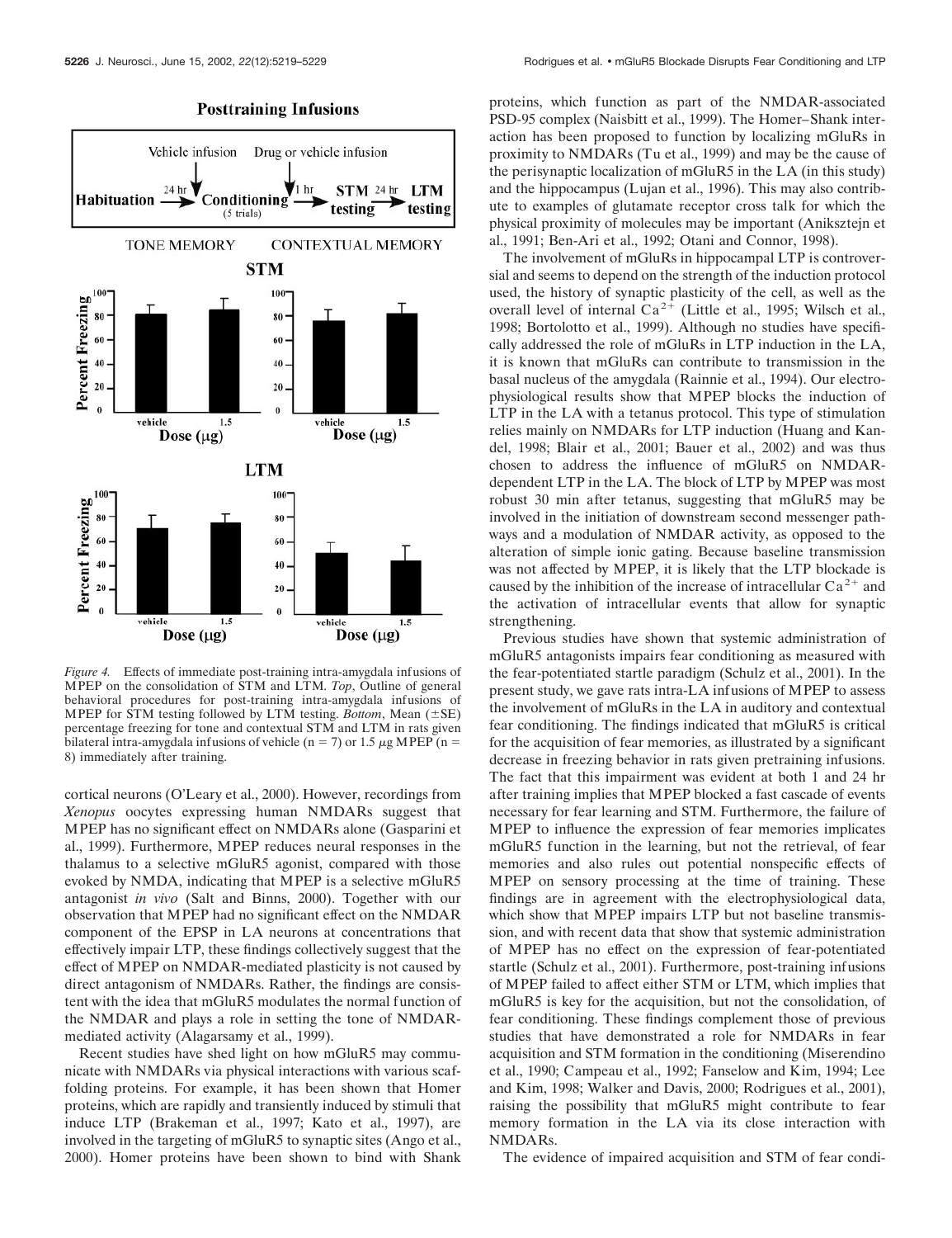## **Posttraining Infusions**



*Figure 4.* Effects of immediate post-training intra-amygdala infusions of MPEP on the consolidation of STM and LTM. *Top*, Outline of general behavioral procedures for post-training intra-amygdala infusions of MPEP for  $\overline{STM}$  testing followed by LTM testing. *Bottom*, Mean ( $\pm$ SE) percentage freezing for tone and contextual STM and LTM in rats given bilateral intra-amygdala infusions of vehicle (n = 7) or 1.5  $\mu$ g MPEP (n = 8) immediately after training.

cortical neurons (O'Leary et al., 2000). However, recordings from *Xenopus* oocytes expressing human NMDARs suggest that MPEP has no significant effect on NMDARs alone (Gasparini et al., 1999). Furthermore, MPEP reduces neural responses in the thalamus to a selective mGluR5 agonist, compared with those evoked by NMDA, indicating that MPEP is a selective mGluR5 antagonist *in vivo* (Salt and Binns, 2000). Together with our observation that MPEP had no significant effect on the NMDAR component of the EPSP in LA neurons at concentrations that effectively impair LTP, these findings collectively suggest that the effect of MPEP on NMDAR-mediated plasticity is not caused by direct antagonism of NMDARs. Rather, the findings are consistent with the idea that mGluR5 modulates the normal function of the NMDAR and plays a role in setting the tone of NMDARmediated activity (Alagarsamy et al., 1999).

Recent studies have shed light on how mGluR5 may communicate with NMDARs via physical interactions with various scaffolding proteins. For example, it has been shown that Homer proteins, which are rapidly and transiently induced by stimuli that induce LTP (Brakeman et al., 1997; Kato et al., 1997), are involved in the targeting of mGluR5 to synaptic sites (Ango et al., 2000). Homer proteins have been shown to bind with Shank

proteins, which function as part of the NMDAR-associated PSD-95 complex (Naisbitt et al., 1999). The Homer–Shank interaction has been proposed to function by localizing mGluRs in proximity to NMDARs (Tu et al., 1999) and may be the cause of the perisynaptic localization of mGluR5 in the LA (in this study) and the hippocampus (Lujan et al., 1996). This may also contribute to examples of glutamate receptor cross talk for which the physical proximity of molecules may be important (Aniksztejn et al., 1991; Ben-Ari et al., 1992; Otani and Connor, 1998).

The involvement of mGluRs in hippocampal LTP is controversial and seems to depend on the strength of the induction protocol used, the history of synaptic plasticity of the cell, as well as the overall level of internal  $Ca^{2+}$  (Little et al., 1995; Wilsch et al., 1998; Bortolotto et al., 1999). Although no studies have specifically addressed the role of mGluRs in LTP induction in the LA, it is known that mGluRs can contribute to transmission in the basal nucleus of the amygdala (Rainnie et al., 1994). Our electrophysiological results show that MPEP blocks the induction of LTP in the LA with a tetanus protocol. This type of stimulation relies mainly on NMDARs for LTP induction (Huang and Kandel, 1998; Blair et al., 2001; Bauer et al., 2002) and was thus chosen to address the influence of mGluR5 on NMDARdependent LTP in the LA. The block of LTP by MPEP was most robust 30 min after tetanus, suggesting that mGluR5 may be involved in the initiation of downstream second messenger pathways and a modulation of NMDAR activity, as opposed to the alteration of simple ionic gating. Because baseline transmission was not affected by MPEP, it is likely that the LTP blockade is caused by the inhibition of the increase of intracellular  $Ca^{2+}$  and the activation of intracellular events that allow for synaptic strengthening.

Previous studies have shown that systemic administration of mGluR5 antagonists impairs fear conditioning as measured with the fear-potentiated startle paradigm (Schulz et al., 2001). In the present study, we gave rats intra-LA infusions of MPEP to assess the involvement of mGluRs in the LA in auditory and contextual fear conditioning. The findings indicated that mGluR5 is critical for the acquisition of fear memories, as illustrated by a significant decrease in freezing behavior in rats given pretraining infusions. The fact that this impairment was evident at both 1 and 24 hr after training implies that MPEP blocked a fast cascade of events necessary for fear learning and STM. Furthermore, the failure of MPEP to influence the expression of fear memories implicates mGluR5 function in the learning, but not the retrieval, of fear memories and also rules out potential nonspecific effects of MPEP on sensory processing at the time of training. These findings are in agreement with the electrophysiological data, which show that MPEP impairs LTP but not baseline transmission, and with recent data that show that systemic administration of MPEP has no effect on the expression of fear-potentiated startle (Schulz et al., 2001). Furthermore, post-training infusions of MPEP failed to affect either STM or LTM, which implies that mGluR5 is key for the acquisition, but not the consolidation, of fear conditioning. These findings complement those of previous studies that have demonstrated a role for NMDARs in fear acquisition and STM formation in the conditioning (Miserendino et al., 1990; Campeau et al., 1992; Fanselow and Kim, 1994; Lee and Kim, 1998; Walker and Davis, 2000; Rodrigues et al., 2001), raising the possibility that mGluR5 might contribute to fear memory formation in the LA via its close interaction with NMDARs.

The evidence of impaired acquisition and STM of fear condi-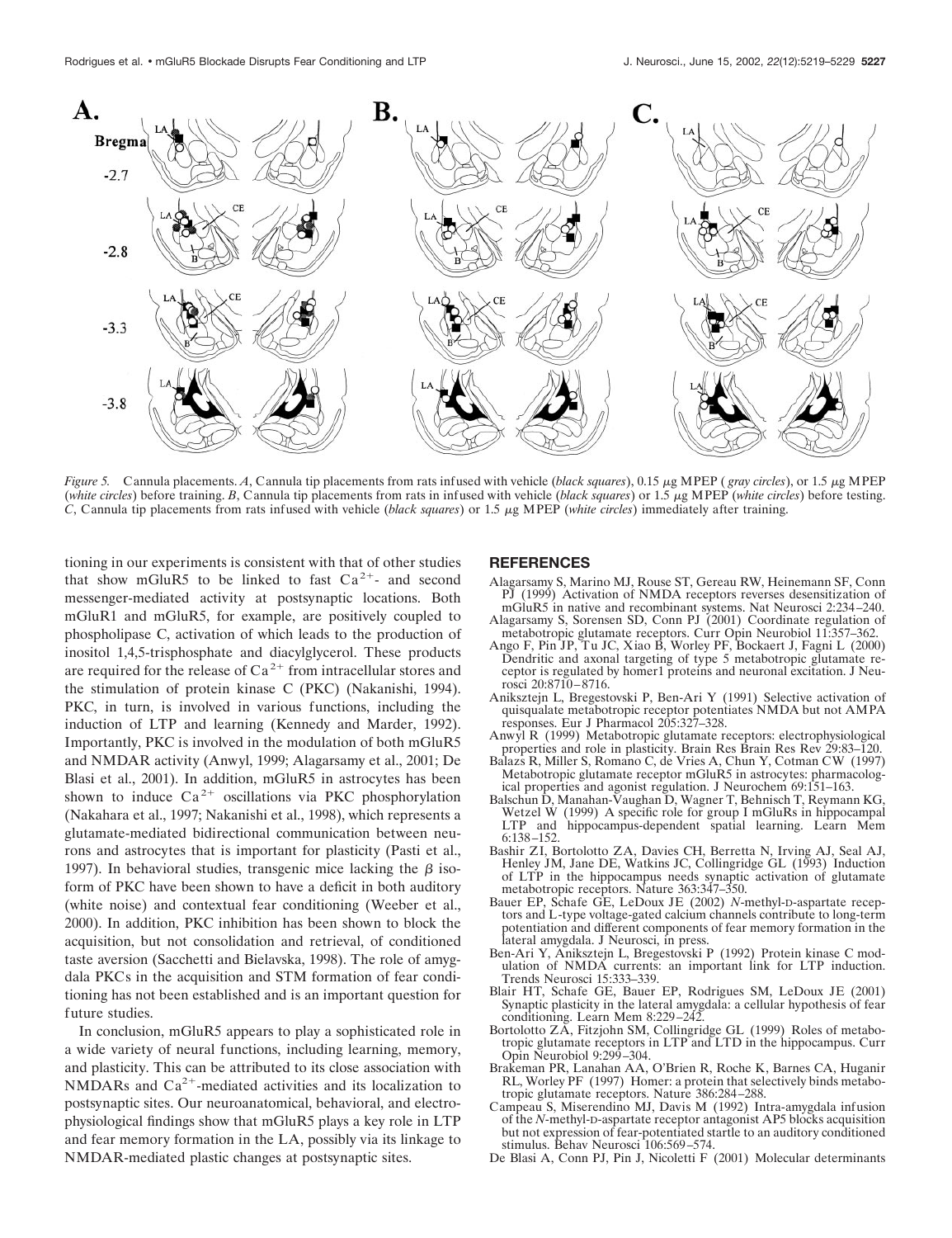

*Figure 5.* Cannula placements. *A*, Cannula tip placements from rats infused with vehicle (*black squares*), 0.15  $\mu$ g MPEP (*gray circles*), or 1.5  $\mu$ g MPEP (*white circles*) before training. *B*, Cannula tip placements from rats in infused with vehicle (*black squares*) or 1.5  $\mu$ g MPEP (*white circles*) before testing. *C*, Cannula tip placements from rats infused with vehicle (*black squares*) or 1.5 g MPEP (*white circles*) immediately after training.

tioning in our experiments is consistent with that of other studies that show mGluR5 to be linked to fast  $Ca^{2+}$ - and second messenger-mediated activity at postsynaptic locations. Both mGluR1 and mGluR5, for example, are positively coupled to phospholipase C, activation of which leads to the production of inositol 1,4,5-trisphosphate and diacylglycerol. These products are required for the release of  $Ca^{2+}$  from intracellular stores and the stimulation of protein kinase C (PKC) (Nakanishi, 1994). PKC, in turn, is involved in various functions, including the induction of LTP and learning (Kennedy and Marder, 1992). Importantly, PKC is involved in the modulation of both mGluR5 and NMDAR activity (Anwyl, 1999; Alagarsamy et al., 2001; De Blasi et al., 2001). In addition, mGluR5 in astrocytes has been shown to induce  $Ca^{2+}$  oscillations via PKC phosphorylation (Nakahara et al., 1997; Nakanishi et al., 1998), which represents a glutamate-mediated bidirectional communication between neurons and astrocytes that is important for plasticity (Pasti et al., 1997). In behavioral studies, transgenic mice lacking the  $\beta$  isoform of PKC have been shown to have a deficit in both auditory (white noise) and contextual fear conditioning (Weeber et al., 2000). In addition, PKC inhibition has been shown to block the acquisition, but not consolidation and retrieval, of conditioned taste aversion (Sacchetti and Bielavska, 1998). The role of amygdala PKCs in the acquisition and STM formation of fear conditioning has not been established and is an important question for future studies.

In conclusion, mGluR5 appears to play a sophisticated role in a wide variety of neural functions, including learning, memory, and plasticity. This can be attributed to its close association with NMDARs and  $Ca^{2+}$ -mediated activities and its localization to postsynaptic sites. Our neuroanatomical, behavioral, and electrophysiological findings show that mGluR5 plays a key role in LTP and fear memory formation in the LA, possibly via its linkage to NMDAR-mediated plastic changes at postsynaptic sites.

## **REFERENCES**

- Alagarsamy S, Marino MJ, Rouse ST, Gereau RW, Heinemann SF, Conn PJ (1999) Activation of NMDA receptors reverses desensitization of mGluR5 in native and recombinant systems. Nat Neurosci 2:234–240.
- Alagarsamy S, Sorensen SD, Conn PJ (2001) Coordinate regulation of metabotropic glutamate receptors. Curr Opin Neurobiol 11:357–362.
- Ango F, Pin JP, Tu JC, Xiao B, Worley PF, Bockaert J, Fagni L (2000) Dendritic and axonal targeting of type 5 metabotropic glutamate receptor is regulated by homer1 proteins and neuronal excitation. J Neurosci 20:8710–8716.
- Aniksztejn L, Bregestovski P, Ben-Ari Y (1991) Selective activation of quisqualate metabotropic receptor potentiates NMDA but not AMPA responses. Eur J Pharmacol 205:327–328.
- Anwyl R (1999) Metabotropic glutamate receptors: electrophysiological properties and role in plasticity. Brain Res Brain Res Rev 29:83–120.
- Balazs R, Miller S, Romano C, de Vries A, Chun Y, Cotman CW (1997) Metabotropic glutamate receptor mGluR5 in astrocytes: pharmacological properties and agonist regulation. J Neurochem 69:151–163.
- Balschun D, Manahan-Vaughan D, Wagner T, Behnisch T, Reymann KG, Wetzel W (1999) A specific role for group I mGluRs in hippocampal LTP and hippocampus-dependent spatial learning. Learn Mem 6:138–152.
- Bashir ZI, Bortolotto ZA, Davies CH, Berretta N, Irving AJ, Seal AJ, Henley JM, Jane DE, Watkins JC, Collingridge GL (1993) Induction of LTP in the hippocampus needs synaptic activation of glutamate metabotropic receptors. Nature 363:347–350.
- Bauer EP, Schafe GE, LeDoux JE (2002) *N*-methyl-D-aspartate receptors and L-type voltage-gated calcium channels contribute to long-term potentiation and different components of fear memory formation in the lateral amygdala. J Neurosci, in press.
- Ben-Ari Y, Aniksztejn L, Bregestovski P (1992) Protein kinase C modulation of NMDA currents: an important link for LTP induction. Trends Neurosci 15:333–339.
- Blair HT, Schafe GE, Bauer EP, Rodrigues SM, LeDoux JE (2001) Synaptic plasticity in the lateral amygdala: a cellular hypothesis of fear conditioning. Learn Mem 8:229–242.
- Bortolotto ZA, Fitzjohn SM, Collingridge GL (1999) Roles of metabotropic glutamate receptors in LTP and LTD in the hippocampus. Curr Opin Neurobiol 9:299–304.
- Brakeman PR, Lanahan AA, O'Brien R, Roche K, Barnes CA, Huganir RL, Worley PF (1997) Homer: a protein that selectively binds metabotropic glutamate receptors. Nature 386:284–288.
- Campeau S, Miserendino MJ, Davis M (1992) Intra-amygdala infusion of the *N*-methyl-D-aspartate receptor antagonist AP5 blocks acquisition but not expression of fear-potentiated startle to an auditory conditioned stimulus. Behav Neurosci 106:569–574.
- De Blasi A, Conn PJ, Pin J, Nicoletti F (2001) Molecular determinants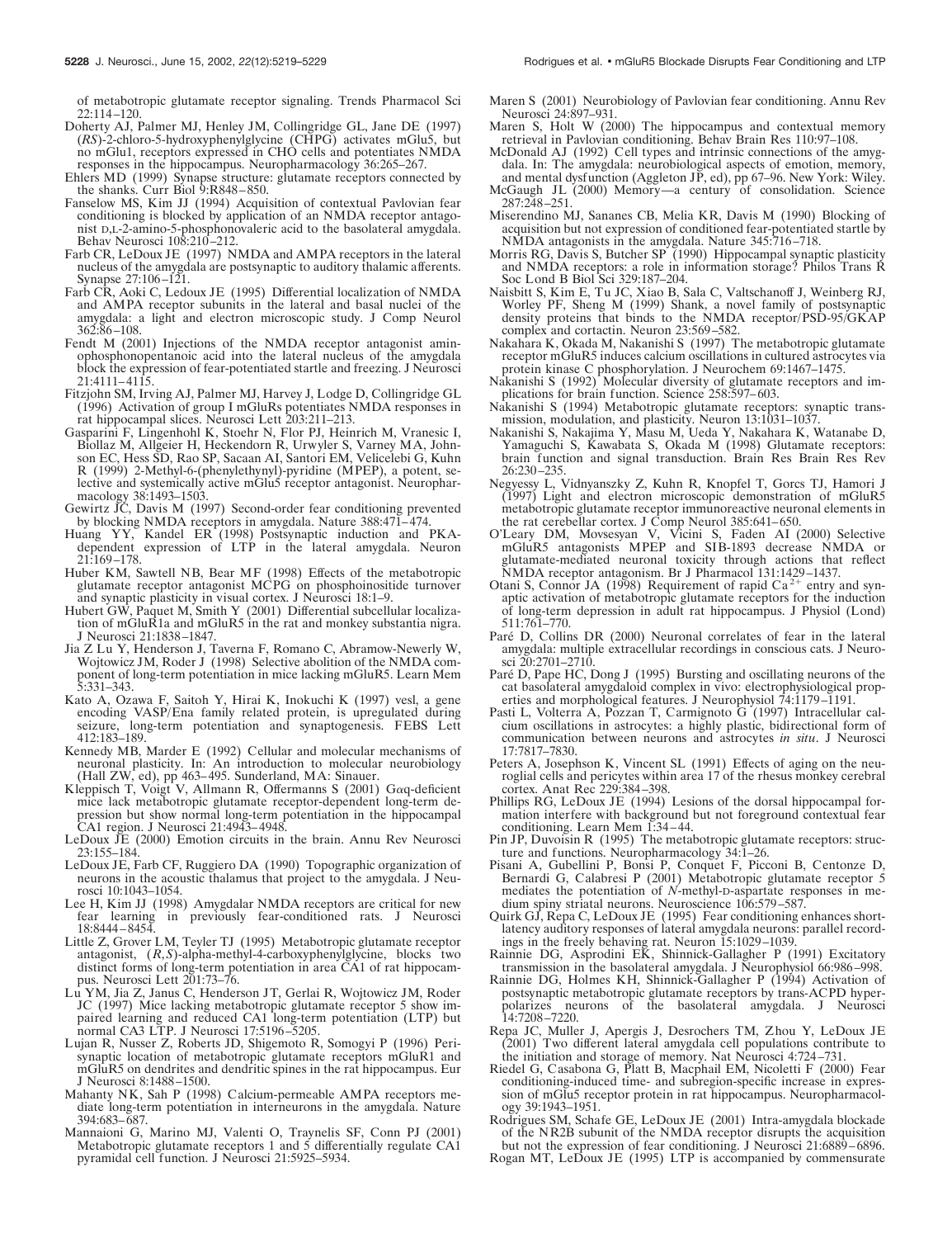of metabotropic glutamate receptor signaling. Trends Pharmacol Sci 22:114–120.

- Doherty AJ, Palmer MJ, Henley JM, Collingridge GL, Jane DE (1997) (*RS*)-2-chloro-5-hydroxyphenylglycine (CHPG) activates mGlu5, but no mGlu1, receptors expressed in CHO cells and potentiates NMDA responses in the hippocampus. Neuropharmacology 36:265–267.
- Ehlers MD (1999) Synapse structure: glutamate receptors connected by the shanks. Curr Biol 9:R848-850.
- Fanselow MS, Kim JJ (1994) Acquisition of contextual Pavlovian fear conditioning is blocked by application of an NMDA receptor antagonist D,L-2-amino-5-phosphonovaleric acid to the basolateral amygdala. Behav Neurosci 108:210-212.
- Farb CR, LeDoux JE (1997) NMDA and AMPA receptors in the lateral nucleus of the amygdala are postsynaptic to auditory thalamic afferents. Synapse 27:106–121.
- Farb CR, Aoki C, Ledoux JE (1995) Differential localization of NMDA and AMPA receptor subunits in the lateral and basal nuclei of the amygdala: a light and electron microscopic study. J Comp Neurol 362:86–108.
- Fendt M (2001) Injections of the NMDA receptor antagonist aminophosphonopentanoic acid into the lateral nucleus of the amygdala block the expression of fear-potentiated startle and freezing. J Neurosci 21:4111–4115.
- Fitzjohn SM, Irving AJ, Palmer MJ, Harvey J, Lodge D, Collingridge GL (1996) Activation of group I mGluRs potentiates NMDA responses in rat hippocampal slices. Neurosci Lett 203:211–213.
- Gasparini F, Lingenhohl K, Stoehr N, Flor PJ, Heinrich M, Vranesic I, Biollaz M, Allgeier H, Heckendorn R, Urwyler S, Varney MA, Johnson EC, Hess SD, Rao SP, Sacaan AI, Santori EM, Velicelebi G, Kuhn R (1999) 2-Methyl-6-(phenylethynyl)-pyridine (MPEP), a potent, selective and systemically active mGlu5 receptor antagonist. Neuropharmacology 38:1493–1503.
- Gewirtz JC, Davis M (1997) Second-order fear conditioning prevented by blocking NMDA receptors in amygdala. Nature 388:471–474.
- Huang YY, Kandel ER (1998) Postsynaptic induction and PKAdependent expression of LTP in the lateral amygdala. Neuron 21:169–178.
- Huber KM, Sawtell NB, Bear MF (1998) Effects of the metabotropic glutamate receptor antagonist MCPG on phosphoinositide turnover and synaptic plasticity in visual cortex. J Neurosci 18:1–9.
- Hubert GW, Paquet M, Smith Y (2001) Differential subcellular localization of mGluR1a and mGluR5 in the rat and monkey substantia nigra. J Neurosci 21:1838–1847.
- Jia Z Lu Y, Henderson J, Taverna F, Romano C, Abramow-Newerly W, Wojtowicz JM, Roder J (1998) Selective abolition of the NMDA component of long-term potentiation in mice lacking mGluR5. Learn Mem 5:331–343.
- Kato A, Ozawa F, Saitoh Y, Hirai K, Inokuchi K (1997) vesl, a gene encoding VASP/Ena family related protein, is upregulated during long-term potentiation and synaptogenesis. FEBS Lett 412:183–189.
- Kennedy MB, Marder E (1992) Cellular and molecular mechanisms of neuronal plasticity. In: An introduction to molecular neurobiology (Hall ZW, ed), pp 463–495. Sunderland, MA: Sinauer.
- Kleppisch T, Voigt V, Allmann R, Offermanns S  $(2001)$  G $\alpha$ q-deficient mice lack metabotropic glutamate receptor-dependent long-term depression but show normal long-term potentiation in the hippocampal CA1 region. J Neurosci 21:4943–4948.
- LeDoux JE (2000) Emotion circuits in the brain. Annu Rev Neurosci 23:155–184.
- LeDoux JE, Farb CF, Ruggiero DA (1990) Topographic organization of neurons in the acoustic thalamus that project to the amygdala. J Neurosci 10:1043–1054.
- Lee H, Kim JJ (1998) Amygdalar NMDA receptors are critical for new fear learning in previously fear-conditioned rats. J Neurosci 18:8444–8454.
- Little Z, Grover LM, Teyler TJ (1995) Metabotropic glutamate receptor antagonist, (*R*,*S*)-alpha-methyl-4-carboxyphenylglycine, blocks two distinct forms of long-term potentiation in area CA1 of rat hippocampus. Neurosci Lett 201:73–76.
- Lu YM, Jia Z, Janus C, Henderson JT, Gerlai R, Wojtowicz JM, Roder JC (1997) Mice lacking metabotropic glutamate receptor 5 show impaired learning and reduced CA1 long-term potentiation (LTP) but normal CA3 LTP. J Neurosci 17:5196–5205.
- Lujan R, Nusser Z, Roberts JD, Shigemoto R, Somogyi P (1996) Perisynaptic location of metabotropic glutamate receptors mGluR1 and mGluR5 on dendrites and dendritic spines in the rat hippocampus. Eur J Neurosci 8:1488–1500.
- Mahanty NK, Sah P (1998) Calcium-permeable AMPA receptors mediate long-term potentiation in interneurons in the amygdala. Nature 394:683–687.
- Mannaioni G, Marino MJ, Valenti O, Traynelis SF, Conn PJ (2001) Metabotropic glutamate receptors 1 and 5 differentially regulate CA1 pyramidal cell function. J Neurosci 21:5925–5934.
- Maren S (2001) Neurobiology of Pavlovian fear conditioning. Annu Rev Neurosci 24:897–931.
- Maren S, Holt W (2000) The hippocampus and contextual memory retrieval in Pavlovian conditioning. Behav Brain Res 110:97–108.
- McDonald AJ (1992) Cell types and intrinsic connections of the amygdala. In: The amygdala: neurobiological aspects of emotion, memory, and mental dysfunction (Aggleton JP, ed), pp 67-96. New York: Wiley.
- McGaugh JL (2000) Memory—a century of consolidation. Science 287:248–251.
- Miserendino MJ, Sananes CB, Melia KR, Davis M (1990) Blocking of acquisition but not expression of conditioned fear-potentiated startle by NMDA antagonists in the amygdala. Nature 345:716–718.
- Morris RG, Davis S, Butcher SP (1990) Hippocampal synaptic plasticity and NMDA receptors: a role in information storage? Philos Trans R Soc Lond B Biol Sci 329:187–204.
- Naisbitt S, Kim E, Tu JC, Xiao B, Sala C, Valtschanoff J, Weinberg RJ, Worley PF, Sheng M (1999) Shank, a novel family of postsynaptic density proteins that binds to the NMDA receptor/PSD-95/GKAP complex and cortactin. Neuron 23:569–582.
- Nakahara K, Okada M, Nakanishi S (1997) The metabotropic glutamate receptor mGluR5 induces calcium oscillations in cultured astrocytes via protein kinase C phosphorylation. J Neurochem 69:1467–1475.
- Nakanishi S (1992) Molecular diversity of glutamate receptors and implications for brain function. Science 258:597–603.
- Nakanishi S (1994) Metabotropic glutamate receptors: synaptic transmission, modulation, and plasticity. Neuron 13:1031–1037.
- Nakanishi S, Nakajima Y, Masu M, Ueda Y, Nakahara K, Watanabe D, Yamaguchi S, Kawabata S, Okada M (1998) Glutamate receptors: brain function and signal transduction. Brain Res Brain Res Rev 26:230–235.
- Negyessy L, Vidnyanszky Z, Kuhn R, Knopfel T, Gorcs TJ, Hamori J (1997) Light and electron microscopic demonstration of mGluR5 metabotropic glutamate receptor immunoreactive neuronal elements in the rat cerebellar cortex. J Comp Neurol 385:641–650.
- O'Leary DM, Movsesyan V, Vicini S, Faden AI (2000) Selective mGluR5 antagonists MPEP and SIB-1893 decrease NMDA or glutamate-mediated neuronal toxicity through actions that reflect
- NMDA receptor antagonism. Br J Pharmacol 131:1429–1437.<br>Otani S, Connor JA (1998) Requirement of rapid Ca<sup>2+</sup> entry and synaptic activation of metabotropic glutamate receptors for the induction of long-term depression in adult rat hippocampus. J Physiol (Lond) 511:761–770.
- Paré D, Collins DR (2000) Neuronal correlates of fear in the lateral amygdala: multiple extracellular recordings in conscious cats. J Neurosci 20:2701–2710.
- Paré D, Pape HC, Dong J (1995) Bursting and oscillating neurons of the cat basolateral amygdaloid complex in vivo: electrophysiological properties and morphological features. J Neurophysiol 74:1179–1191.
- Pasti L, Volterra A, Pozzan T, Carmignoto G (1997) Intracellular calcium oscillations in astrocytes: a highly plastic, bidirectional form of communication between neurons and astrocytes *in situ*. J Neurosci 17:7817–7830.
- Peters A, Josephson K, Vincent SL (1991) Effects of aging on the neuroglial cells and pericytes within area 17 of the rhesus monkey cerebral cortex. Anat Rec 229:384–398.
- Phillips RG, LeDoux JE (1994) Lesions of the dorsal hippocampal formation interfere with background but not foreground contextual fear conditioning. Learn Mem 1:34–44.
- Pin JP, Duvoisin R (1995) The metabotropic glutamate receptors: structure and functions. Neuropharmacology 34:1–26.
- Pisani A, Gubellini P, Bonsi P, Conquet F, Picconi B, Centonze D, Bernardi G, Calabresi P (2001) Metabotropic glutamate receptor 5 mediates the potentiation of *N*-methyl-D-aspartate responses in medium spiny striatal neurons. Neuroscience 106:579–587.
- Quirk GJ, Repa C, LeDoux JE (1995) Fear conditioning enhances shortlatency auditory responses of lateral amygdala neurons: parallel recordings in the freely behaving rat. Neuron 15:1029–1039.
- Rainnie DG, Asprodini EK, Shinnick-Gallagher P (1991) Excitatory transmission in the basolateral amygdala. J Neurophysiol 66:986–998.
- Rainnie DG, Holmes KH, Shinnick-Gallagher P (1994) Activation of postsynaptic metabotropic glutamate receptors by trans*-*ACPD hyperpolarizes neurons of the basolateral amygdala. J Neurosci 14:7208–7220.
- Repa JC, Muller J, Apergis J, Desrochers TM, Zhou Y, LeDoux JE (2001) Two different lateral amygdala cell populations contribute to the initiation and storage of memory. Nat Neurosci 4:724–731.
- Riedel G, Casabona G, Platt B, Macphail EM, Nicoletti F (2000) Fear conditioning-induced time- and subregion-specific increase in expression of mGlu5 receptor protein in rat hippocampus. Neuropharmacology 39:1943–1951.
- Rodrigues SM, Schafe GE, LeDoux JE (2001) Intra-amygdala blockade of the NR2B subunit of the NMDA receptor disrupts the acquisition but not the expression of fear conditioning. J Neurosci 21:6889–6896.
- Rogan MT, LeDoux JE (1995) LTP is accompanied by commensurate